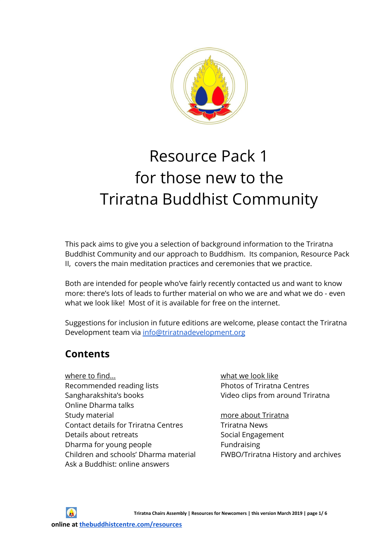

# Resource Pack 1 for those new to the Triratna Buddhist Community

This pack aims to give you a selection of background information to the Triratna Buddhist Community and our approach to Buddhism. Its companion, Resource Pack II, covers the main meditation practices and ceremonies that we practice.

Both are intended for people who've fairly recently contacted us and want to know more: there's lots of leads to further material on who we are and what we do - even what we look like! Most of it is available for free on the internet.

Suggestions for inclusion in future editions are welcome, please contact the Triratna Development team via [info@triratnadevelopment.org](mailto:info@triratnadevelopment.org)

# **Contents**

where to find... Recommended reading lists Sangharakshita's books Online Dharma talks Study material Contact details for Triratna Centres Details about retreats Dharma for young people Children and schools' Dharma material Ask a Buddhist: online answers

what we look like Photos of Triratna Centres Video clips from around Triratna

# more about Triratna

Triratna News Social Engagement Fundraising FWBO/Triratna History and archives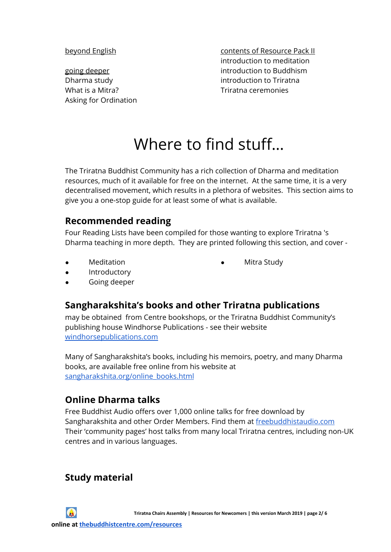beyond English

going deeper Dharma study What is a Mitra? Asking for Ordination contents of Resource Pack II introduction to meditation introduction to Buddhism introduction to Triratna Triratna ceremonies

# Where to find stuff…

The Triratna Buddhist Community has a rich collection of Dharma and meditation resources, much of it available for free on the internet. At the same time, it is a very decentralised movement, which results in a plethora of websites. This section aims to give you a one-stop guide for at least some of what is available.

### **Recommended reading**

Four Reading Lists have been compiled for those wanting to explore Triratna 's Dharma teaching in more depth. They are printed following this section, and cover -

**Meditation** 

Mitra Study

- Introductory
- Going deeper

# **Sangharakshita's books and other Triratna publications**

may be obtained from Centre bookshops, or the Triratna Buddhist Community's publishing house Windhorse Publications - see their website [windhorsepublications.com](https://www.windhorsepublications.com/)

Many of Sangharakshita's books, including his memoirs, poetry, and many Dharma books, are available free online from his website at [sangharakshita.org/online\\_books.html](https://www.sangharakshita.org/online_books.html)

# **Online Dharma talks**

Free [Buddhist](http://www.freebuddhistaudio.com/) Audio offers over 1,000 online talks for free download by Sangharakshita and other Order Members. Find them at [freebuddhistaudio.com](https://www.freebuddhistaudio.com/) Their '[community](http://freebuddhistaudio.com/community/local) pages' host talks from many local Triratna centres, including non-UK centres and in various languages.

#### **Study material**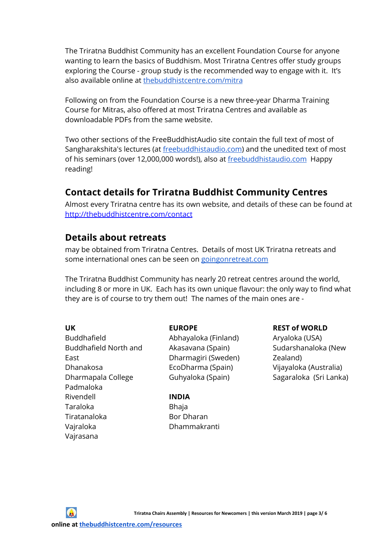The Triratna Buddhist Community has an excellent Foundation Course for anyone wanting to learn the basics of Buddhism. Most Triratna Centres offer study groups exploring the Course - group study is the recommended way to engage with it. It's also available online at [thebuddhistcentre.com/mitra](https://thebuddhistcentre.com/mitra/)

Following on from the Foundation Course is a new three-year Dharma Training Course for Mitras, also offered at most Triratna Centres and available as downloadable PDFs from the same website.

Two other sections of the FreeBuddhistAudio site contain the full text of most of Sangharakshita's lectures (at [freebuddhistaudio.com\)](https://www.freebuddhistaudio.com/browse?cat=sangharakshita_lectures&t=text) and the unedited text of most of his seminars (over 12,000,000 words!), also at [freebuddhistaudio.com](https://www.freebuddhistaudio.com/browse?cat=sangharakshita_seminars&t=text) Happy reading!

# **Contact details for Triratna Buddhist Community Centres**

Almost every Triratna centre has its own website, and details of these can be found at [http://thebuddhistcentre.com/contact](https://thebuddhistcentre.com/contact)

#### **Details about retreats**

may be obtained from Triratna Centres. Details of most UK Triratna retreats and some international ones can be seen on [goingonretreat.com](https://www.goingonretreat.com/)

The Triratna Buddhist Community has nearly 20 retreat centres around the world, including 8 or more in UK. Each has its own unique flavour: the only way to find what they are is of course to try them out! The names of the main ones are -

**UK** Buddhafield Buddhafield North and East Dhanakosa Dharmapala College Padmaloka Rivendell Taraloka Tiratanaloka Vajraloka Vajrasana

#### **EUROPE**

Abhayaloka (Finland) Akasavana (Spain) Dharmagiri (Sweden) EcoDharma (Spain) Guhyaloka (Spain)

**INDIA** Bhaja Bor Dharan Dhammakranti

#### **REST of WORLD**

Aryaloka (USA) Sudarshanaloka (New Zealand) Vijayaloka (Australia) Sagaraloka (Sri Lanka)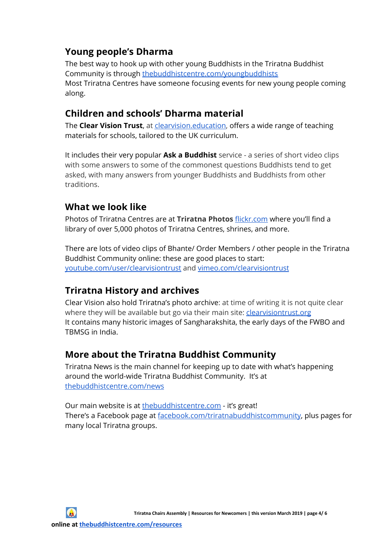# **Young people's Dharma**

The best way to hook up with other young Buddhists in the Triratna Buddhist Community is through [thebuddhistcentre.com/youngbuddhists](https://thebuddhistcentre.com/youngbuddhists) Most Triratna Centres have someone focusing events for new young people coming along.

### **Children and schools' Dharma material**

The **Clear Vision Trust**, at [clearvision.education,](https://clearvision.education/) offers a wide range of teaching materials for schools, tailored to the UK curriculum.

It includes their very popular **Ask a Buddhist** service - a series of short video clips with some answers to some of the commonest questions Buddhists tend to get asked, with many answers from younger Buddhists and Buddhists from other traditions.

### **What we look like**

Photos of Triratna Centres are at **Triratna Photos** [flickr.com](https://www.flickr.com/photos/fwbo/albums) where you'll find a library of over 5,000 photos of Triratna Centres, shrines, and more.

There are lots of video clips of Bhante/ Order Members / other people in the Triratna Buddhist Community online: these are good places to start: [youtube.com/user/clearvisiontrust](https://www.youtube.com/user/clearvisiontrust) and [vimeo.com/clearvisiontrust](https://vimeo.com/clearvisiontrust)

# **Triratna History and archives**

Clear Vision also hold Triratna's photo archive: at time of writing it is not quite clear where they will be available but go via their main site: *[clearvisiontrust.org](https://clearvisiontrust.org/)* It contains many historic images of Sangharakshita, the early days of the FWBO and TBMSG in India.

#### **More about the Triratna Buddhist Community**

Triratna News is the main channel for keeping up to date with what's happening around the world-wide Triratna Buddhist Community. It's at [thebuddhistcentre.com/news](https://thebuddhistcentre.com/news?display=latest)

Our main website is at [thebuddhistcentre.com](https://thebuddhistcentre.com/) - it's great! There's a Facebook page at [facebook.com/triratnabuddhistcommunity,](https://www.facebook.com/triratnabuddhistcommunity) plus pages for many local Triratna groups.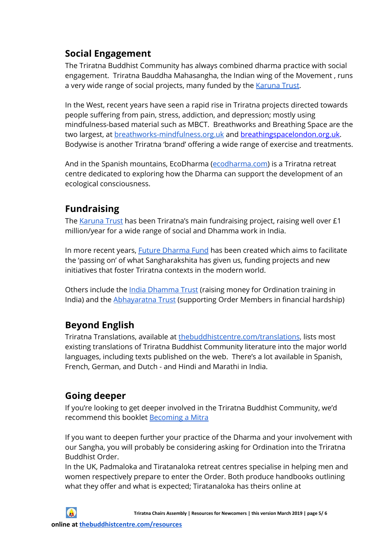# **Social Engagement**

The Triratna Buddhist Community has always combined dharma practice with social engagement. Triratna Bauddha Mahasangha, the Indian wing of the Movement , runs a very wide range of social projects, many funded by the [Karuna](https://www.karuna.org/) Trust.

In the West, recent years have seen a rapid rise in Triratna projects directed towards people suffering from pain, stress, addiction, and depression; mostly using mindfulness-based material such as MBCT. Breathworks and Breathing Space are the two largest, at [breathworks-mindfulness.org.uk](https://www.breathworks-mindfulness.org.uk/) and [breathingspacelondon.org.uk.](http://www.breathingspacelondon.org.uk/) Bodywise is another Triratna 'brand' offering a wide range of exercise and treatments.

And in the Spanish mountains, EcoDharma [\(ecodharma.com](http://www.ecodharma.com/)) is a Triratna retreat centre dedicated to exploring how the Dharma can support the development of an ecological consciousness.

# **Fundraising**

The [Karuna](https://www.karuna.org/) Trust has been Triratna's main fundraising project, raising well over £1 million/year for a wide range of social and Dhamma work in India.

In more recent years, **Future [Dharma](https://futuredharma.org/) Fund** has been created which aims to facilitate the 'passing on' of what Sangharakshita has given us, funding projects and new initiatives that foster Triratna contexts in the modern world.

Others include the *India [Dhamma](https://indiadhammatrust.org/) Trust* (raising money for Ordination training in India) and the [Abhayaratna](https://abhayaratnatrust.org/) Trust (supporting Order Members in financial hardship)

# **Beyond English**

Triratna Translations, available at [thebuddhistcentre.com/translations](https://thebuddhistcentre.com/translations), lists most existing translations of Triratna Buddhist Community literature into the major world languages, including texts published on the web. There's a lot available in Spanish, French, German, and Dutch - and Hindi and Marathi in India.

# **Going deeper**

If you're looking to get deeper involved in the Triratna Buddhist Community, we'd recommend this booklet [Becoming](https://thebuddhistcentre.com/highlights/becoming-mitra-triratna-buddhist-community) a Mitra

If you want to deepen further your practice of the Dharma and your involvement with our Sangha, you will probably be considering asking for Ordination into the Triratna Buddhist Order.

In the UK, Padmaloka and Tiratanaloka retreat centres specialise in helping men and women respectively prepare to enter the Order. Both produce handbooks outlining what they offer and what is expected; Tiratanaloka has theirs online at